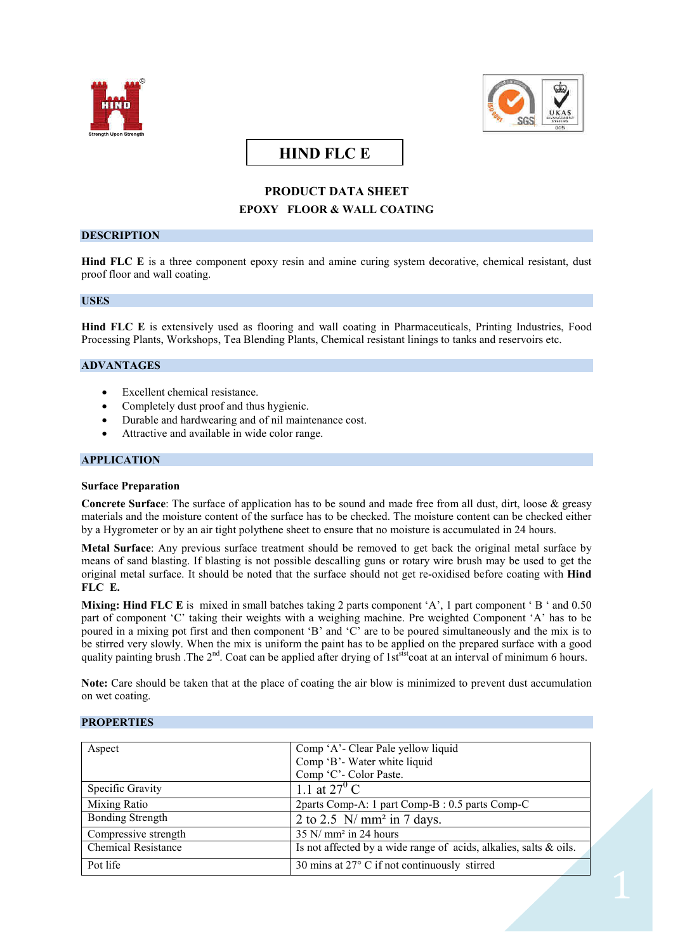



# **HIND FLC E**

## **PRODUCT DATA SHEET EPOXY FLOOR & WALL COATING**

## **DESCRIPTION**

**Hind FLC E** is a three component epoxy resin and amine curing system decorative, chemical resistant, dust proof floor and wall coating.

#### **USES**

**Hind FLC E** is extensively used as flooring and wall coating in Pharmaceuticals, Printing Industries, Food Processing Plants, Workshops, Tea Blending Plants, Chemical resistant linings to tanks and reservoirs etc.

## **ADVANTAGES**

- Excellent chemical resistance.
- Completely dust proof and thus hygienic.
- Durable and hardwearing and of nil maintenance cost.
- Attractive and available in wide color range.

#### **APPLICATION**

#### **Surface Preparation**

**Concrete Surface**: The surface of application has to be sound and made free from all dust, dirt, loose & greasy materials and the moisture content of the surface has to be checked. The moisture content can be checked either by a Hygrometer or by an air tight polythene sheet to ensure that no moisture is accumulated in 24 hours.

**Metal Surface**: Any previous surface treatment should be removed to get back the original metal surface by means of sand blasting. If blasting is not possible descalling guns or rotary wire brush may be used to get the original metal surface. It should be noted that the surface should not get re-oxidised before coating with **Hind FLC E.**

**Mixing:** Hind FLC E is mixed in small batches taking 2 parts component 'A', 1 part component 'B' and 0.50 part of component 'C' taking their weights with a weighing machine. Pre weighted Component 'A' has to be poured in a mixing pot first and then component 'B' and 'C' are to be poured simultaneously and the mix is to be stirred very slowly. When the mix is uniform the paint has to be applied on the prepared surface with a good quality painting brush .The  $2^{nd}$ . Coat can be applied after drying of  $1s<sup>stst</sup> \cot t$  at an interval of minimum 6 hours.

**Note:** Care should be taken that at the place of coating the air blow is minimized to prevent dust accumulation on wet coating.

## **PROPERTIES**

| Aspect                     | Comp 'A'- Clear Pale yellow liquid                                |
|----------------------------|-------------------------------------------------------------------|
|                            | Comp 'B'- Water white liquid                                      |
|                            | Comp 'C'- Color Paste.                                            |
| Specific Gravity           | 1.1 at $27^{\circ}$ C                                             |
| Mixing Ratio               | 2parts Comp-A: 1 part Comp-B : 0.5 parts Comp-C                   |
| <b>Bonding Strength</b>    | 2 to 2.5 $\ N/mm^2$ in 7 days.                                    |
| Compressive strength       | $35$ N/ mm <sup>2</sup> in 24 hours                               |
| <b>Chemical Resistance</b> | Is not affected by a wide range of acids, alkalies, salts & oils. |
| Pot life                   | 30 mins at $27^{\circ}$ C if not continuously stirred             |